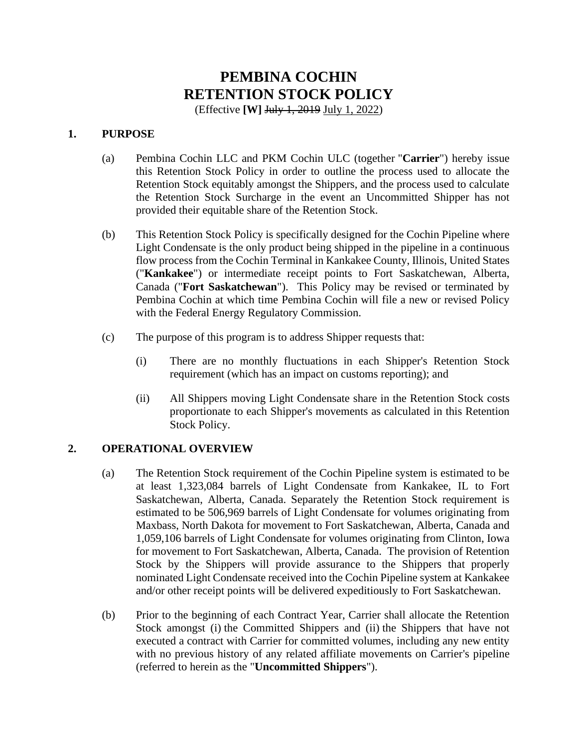# **PEMBINA COCHIN RETENTION STOCK POLICY**

(Effective **[W]** July 1, 2019 July 1, 2022)

#### **1. PURPOSE**

- (a) Pembina Cochin LLC and PKM Cochin ULC (together "**Carrier**") hereby issue this Retention Stock Policy in order to outline the process used to allocate the Retention Stock equitably amongst the Shippers, and the process used to calculate the Retention Stock Surcharge in the event an Uncommitted Shipper has not provided their equitable share of the Retention Stock.
- (b) This Retention Stock Policy is specifically designed for the Cochin Pipeline where Light Condensate is the only product being shipped in the pipeline in a continuous flow process from the Cochin Terminal in Kankakee County, Illinois, United States ("**Kankakee**") or intermediate receipt points to Fort Saskatchewan, Alberta, Canada ("**Fort Saskatchewan**"). This Policy may be revised or terminated by Pembina Cochin at which time Pembina Cochin will file a new or revised Policy with the Federal Energy Regulatory Commission.
- (c) The purpose of this program is to address Shipper requests that:
	- (i) There are no monthly fluctuations in each Shipper's Retention Stock requirement (which has an impact on customs reporting); and
	- (ii) All Shippers moving Light Condensate share in the Retention Stock costs proportionate to each Shipper's movements as calculated in this Retention Stock Policy.

# **2. OPERATIONAL OVERVIEW**

- (a) The Retention Stock requirement of the Cochin Pipeline system is estimated to be at least 1,323,084 barrels of Light Condensate from Kankakee, IL to Fort Saskatchewan, Alberta, Canada. Separately the Retention Stock requirement is estimated to be 506,969 barrels of Light Condensate for volumes originating from Maxbass, North Dakota for movement to Fort Saskatchewan, Alberta, Canada and 1,059,106 barrels of Light Condensate for volumes originating from Clinton, Iowa for movement to Fort Saskatchewan, Alberta, Canada. The provision of Retention Stock by the Shippers will provide assurance to the Shippers that properly nominated Light Condensate received into the Cochin Pipeline system at Kankakee and/or other receipt points will be delivered expeditiously to Fort Saskatchewan.
- (b) Prior to the beginning of each Contract Year, Carrier shall allocate the Retention Stock amongst (i) the Committed Shippers and (ii) the Shippers that have not executed a contract with Carrier for committed volumes, including any new entity with no previous history of any related affiliate movements on Carrier's pipeline (referred to herein as the "**Uncommitted Shippers**").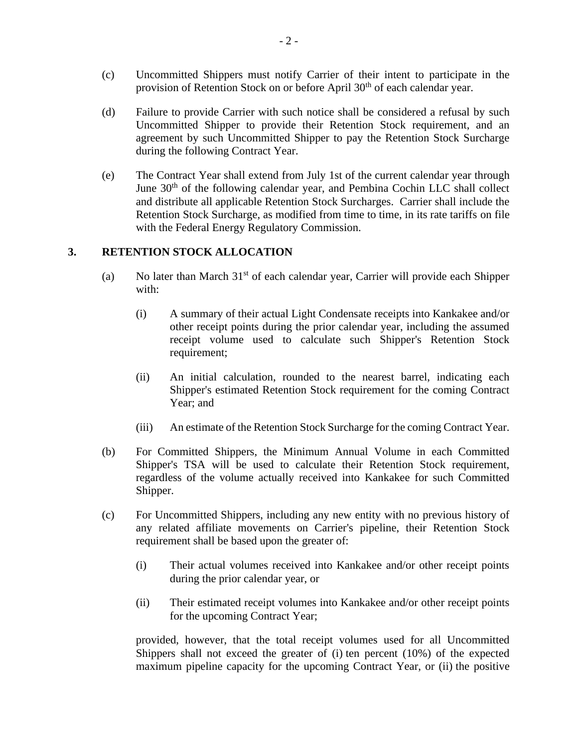- (c) Uncommitted Shippers must notify Carrier of their intent to participate in the provision of Retention Stock on or before April 30<sup>th</sup> of each calendar year.
- (d) Failure to provide Carrier with such notice shall be considered a refusal by such Uncommitted Shipper to provide their Retention Stock requirement, and an agreement by such Uncommitted Shipper to pay the Retention Stock Surcharge during the following Contract Year.
- (e) The Contract Year shall extend from July 1st of the current calendar year through June 30<sup>th</sup> of the following calendar year, and Pembina Cochin LLC shall collect and distribute all applicable Retention Stock Surcharges. Carrier shall include the Retention Stock Surcharge, as modified from time to time, in its rate tariffs on file with the Federal Energy Regulatory Commission.

#### **3. RETENTION STOCK ALLOCATION**

- (a) No later than March  $31<sup>st</sup>$  of each calendar year, Carrier will provide each Shipper with:
	- (i) A summary of their actual Light Condensate receipts into Kankakee and/or other receipt points during the prior calendar year, including the assumed receipt volume used to calculate such Shipper's Retention Stock requirement;
	- (ii) An initial calculation, rounded to the nearest barrel, indicating each Shipper's estimated Retention Stock requirement for the coming Contract Year; and
	- (iii) An estimate of the Retention Stock Surcharge for the coming Contract Year.
- (b) For Committed Shippers, the Minimum Annual Volume in each Committed Shipper's TSA will be used to calculate their Retention Stock requirement, regardless of the volume actually received into Kankakee for such Committed Shipper.
- (c) For Uncommitted Shippers, including any new entity with no previous history of any related affiliate movements on Carrier's pipeline, their Retention Stock requirement shall be based upon the greater of:
	- (i) Their actual volumes received into Kankakee and/or other receipt points during the prior calendar year, or
	- (ii) Their estimated receipt volumes into Kankakee and/or other receipt points for the upcoming Contract Year;

provided, however, that the total receipt volumes used for all Uncommitted Shippers shall not exceed the greater of (i) ten percent (10%) of the expected maximum pipeline capacity for the upcoming Contract Year, or (ii) the positive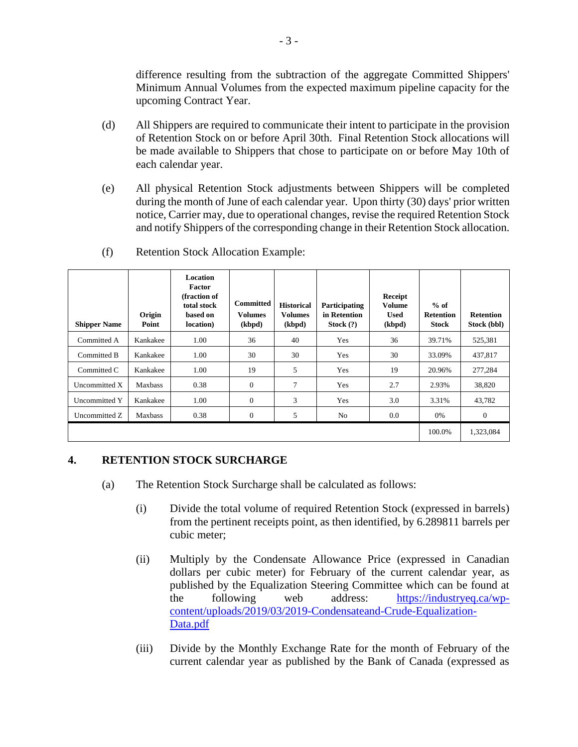difference resulting from the subtraction of the aggregate Committed Shippers' Minimum Annual Volumes from the expected maximum pipeline capacity for the upcoming Contract Year.

- (d) All Shippers are required to communicate their intent to participate in the provision of Retention Stock on or before April 30th. Final Retention Stock allocations will be made available to Shippers that chose to participate on or before May 10th of each calendar year.
- (e) All physical Retention Stock adjustments between Shippers will be completed during the month of June of each calendar year. Upon thirty (30) days' prior written notice, Carrier may, due to operational changes, revise the required Retention Stock and notify Shippers of the corresponding change in their Retention Stock allocation.

| <b>Shipper Name</b> | Origin<br>Point | <b>Location</b><br><b>Factor</b><br>(fraction of<br>total stock<br>based on<br>location) | <b>Committed</b><br><b>Volumes</b><br>(kbpd) | <b>Historical</b><br><b>Volumes</b><br>(kbpd) | Participating<br>in Retention<br>Stock $(?)$ | Receipt<br><b>Volume</b><br><b>Used</b><br>(kbpd) | $%$ of<br><b>Retention</b><br><b>Stock</b> | <b>Retention</b><br>Stock (bbl) |
|---------------------|-----------------|------------------------------------------------------------------------------------------|----------------------------------------------|-----------------------------------------------|----------------------------------------------|---------------------------------------------------|--------------------------------------------|---------------------------------|
| Committed A         | Kankakee        | 1.00                                                                                     | 36                                           | 40                                            | Yes                                          | 36                                                | 39.71%                                     | 525,381                         |
| Committed B         | Kankakee        | 1.00                                                                                     | 30                                           | 30                                            | Yes                                          | 30                                                | 33.09%                                     | 437,817                         |
| Committed C         | Kankakee        | 1.00                                                                                     | 19                                           | 5                                             | Yes                                          | 19                                                | 20.96%                                     | 277,284                         |
| Uncommitted X       | <b>Maxbass</b>  | 0.38                                                                                     | $\mathbf{0}$                                 | 7                                             | Yes                                          | 2.7                                               | 2.93%                                      | 38,820                          |
| Uncommitted Y       | Kankakee        | 1.00                                                                                     | $\Omega$                                     | 3                                             | Yes                                          | 3.0                                               | 3.31%                                      | 43,782                          |
| Uncommitted Z       | <b>Maxbass</b>  | 0.38                                                                                     | $\mathbf{0}$                                 | 5                                             | N <sub>0</sub>                               | 0.0                                               | 0%                                         | $\theta$                        |
|                     |                 |                                                                                          |                                              |                                               |                                              |                                                   | 100.0%                                     | 1,323,084                       |

(f) Retention Stock Allocation Example:

# **4. RETENTION STOCK SURCHARGE**

- (a) The Retention Stock Surcharge shall be calculated as follows:
	- (i) Divide the total volume of required Retention Stock (expressed in barrels) from the pertinent receipts point, as then identified, by 6.289811 barrels per cubic meter;
	- (ii) Multiply by the Condensate Allowance Price (expressed in Canadian dollars per cubic meter) for February of the current calendar year, as published by the Equalization Steering Committee which can be found at the following web address: [https://industryeq.ca/wp](https://industryeq.ca/wp-content/uploads/2019/03/2019-Condensateand-Crude-Equalization-Data.pdf)[content/uploads/2019/03/2019-Condensateand-Crude-Equalization-](https://industryeq.ca/wp-content/uploads/2019/03/2019-Condensateand-Crude-Equalization-Data.pdf)[Data.pdf](https://industryeq.ca/wp-content/uploads/2019/03/2019-Condensateand-Crude-Equalization-Data.pdf)
	- (iii) Divide by the Monthly Exchange Rate for the month of February of the current calendar year as published by the Bank of Canada (expressed as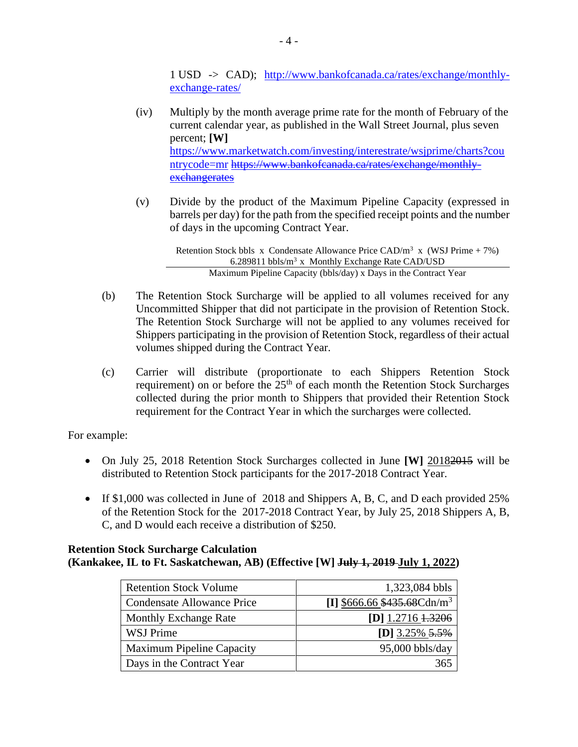1 USD -> CAD); [http://www.bankofcanada.ca/rates/exchange/monthly](http://www.bankofcanada.ca/rates/exchange/monthly-exchange-rates/)[exchange-rates/](http://www.bankofcanada.ca/rates/exchange/monthly-exchange-rates/)

- (iv) Multiply by the month average prime rate for the month of February of the current calendar year, as published in the Wall Street Journal, plus seven percent; **[W]**  [https://www.marketwatch.com/investing/interestrate/wsjprime/charts?cou](https://www.marketwatch.com/investing/interestrate/wsjprime/charts?countrycode=mr) [ntrycode=mr](https://www.marketwatch.com/investing/interestrate/wsjprime/charts?countrycode=mr) [https://www.bankofcanada.ca/rates/exchange/monthly](https://www.bankofcanada.ca/rates/exchange/monthly-exchangerates)[exchangerates](https://www.bankofcanada.ca/rates/exchange/monthly-exchangerates)
- (v) Divide by the product of the Maximum Pipeline Capacity (expressed in barrels per day) for the path from the specified receipt points and the number of days in the upcoming Contract Year.

Retention Stock bbls x Condensate Allowance Price CAD/ $m^3$  x (WSJ Prime + 7%) 6.289811 bbls/ $m<sup>3</sup>$  x Monthly Exchange Rate CAD/USD Maximum Pipeline Capacity (bbls/day) x Days in the Contract Year

- (b) The Retention Stock Surcharge will be applied to all volumes received for any Uncommitted Shipper that did not participate in the provision of Retention Stock. The Retention Stock Surcharge will not be applied to any volumes received for Shippers participating in the provision of Retention Stock, regardless of their actual volumes shipped during the Contract Year.
- (c) Carrier will distribute (proportionate to each Shippers Retention Stock requirement) on or before the  $25<sup>th</sup>$  of each month the Retention Stock Surcharges collected during the prior month to Shippers that provided their Retention Stock requirement for the Contract Year in which the surcharges were collected.

For example:

- On July 25, 2018 Retention Stock Surcharges collected in June **[W]** 20182015 will be distributed to Retention Stock participants for the 2017-2018 Contract Year.
- If \$1,000 was collected in June of 2018 and Shippers A, B, C, and D each provided 25% of the Retention Stock for the 2017-2018 Contract Year, by July 25, 2018 Shippers A, B, C, and D would each receive a distribution of \$250.

#### **Retention Stock Surcharge Calculation (Kankakee, IL to Ft. Saskatchewan, AB) (Effective [W] July 1, 2019 July 1, 2022)**

| <b>Retention Stock Volume</b>    | 1,323,084 bbls                       |
|----------------------------------|--------------------------------------|
| Condensate Allowance Price       | [I] $$666.66 $435.68 \text{Cdn/m}^3$ |
| <b>Monthly Exchange Rate</b>     | $[D]$ 1.2716 1.3206                  |
| <b>WSJ Prime</b>                 | [D] $3.25\%$ $5.5\%$                 |
| <b>Maximum Pipeline Capacity</b> | $95,000$ bbls/day                    |
| Days in the Contract Year        |                                      |